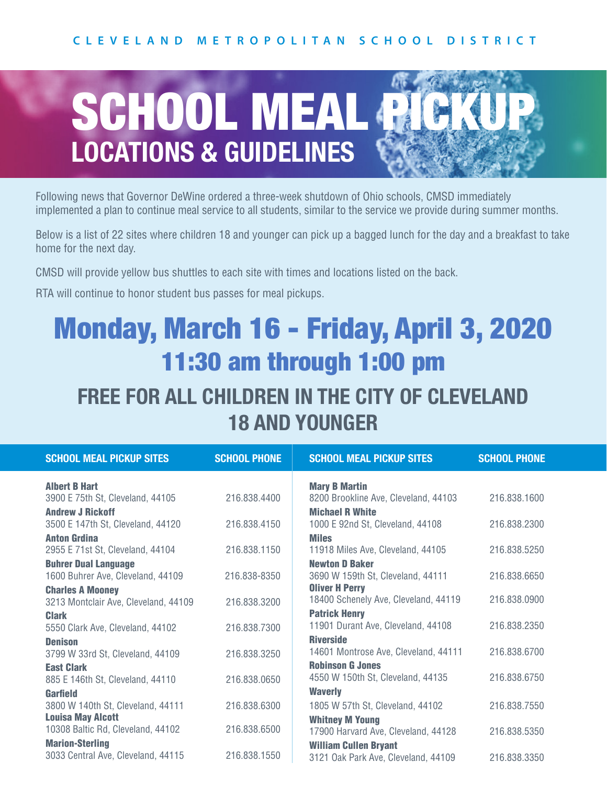

Following news that Governor DeWine ordered a three-week shutdown of Ohio schools, CMSD immediately implemented a plan to continue meal service to all students, similar to the service we provide during summer months.

Below is a list of 22 sites where children 18 and younger can pick up a bagged lunch for the day and a breakfast to take home for the next day.

CMSD will provide yellow bus shuttles to each site with times and locations listed on the back.

RTA will continue to honor student bus passes for meal pickups.

# Monday, March 16 - Friday, April 3, 2020 11:30 am through 1:00 pm

### **FREE FOR ALL CHILDREN IN THE CITY OF CLEVELAND 18 AND YOUNGER**

| <b>SCHOOL MEAL PICKUP SITES</b>                                  | <b>SCHOOL PHONE</b> | <b>SCHOOL MEAL PICKUP SITES</b>                              | <b>SCHOOL PHONE</b> |
|------------------------------------------------------------------|---------------------|--------------------------------------------------------------|---------------------|
| <b>Albert B Hart</b>                                             |                     | <b>Mary B Martin</b>                                         |                     |
| 3900 E 75th St, Cleveland, 44105                                 | 216.838.4400        | 8200 Brookline Ave, Cleveland, 44103                         | 216.838.1600        |
| <b>Andrew J Rickoff</b>                                          |                     | <b>Michael R White</b>                                       |                     |
| 3500 E 147th St, Cleveland, 44120                                | 216.838.4150        | 1000 E 92nd St, Cleveland, 44108                             | 216.838.2300        |
| <b>Anton Grdina</b>                                              |                     | <b>Miles</b>                                                 |                     |
| 2955 E 71st St, Cleveland, 44104                                 | 216.838.1150        | 11918 Miles Ave, Cleveland, 44105<br><b>Newton D Baker</b>   | 216.838.5250        |
| <b>Buhrer Dual Language</b><br>1600 Buhrer Ave, Cleveland, 44109 | 216.838-8350        | 3690 W 159th St, Cleveland, 44111                            | 216.838.6650        |
| <b>Charles A Mooney</b>                                          |                     | <b>Oliver H Perry</b>                                        |                     |
| 3213 Montclair Ave, Cleveland, 44109                             | 216.838.3200        | 18400 Schenely Ave, Cleveland, 44119                         | 216.838.0900        |
| <b>Clark</b>                                                     |                     | <b>Patrick Henry</b>                                         |                     |
| 5550 Clark Ave, Cleveland, 44102                                 | 216.838.7300        | 11901 Durant Ave, Cleveland, 44108                           | 216.838.2350        |
| <b>Denison</b>                                                   |                     | <b>Riverside</b>                                             |                     |
| 3799 W 33rd St, Cleveland, 44109                                 | 216.838.3250        | 14601 Montrose Ave, Cleveland, 44111                         | 216.838.6700        |
| <b>East Clark</b>                                                | 216.838.0650        | <b>Robinson G Jones</b><br>4550 W 150th St, Cleveland, 44135 | 216.838.6750        |
| 885 E 146th St, Cleveland, 44110<br>Garfield                     |                     | <b>Waverly</b>                                               |                     |
| 3800 W 140th St, Cleveland, 44111                                | 216.838.6300        | 1805 W 57th St, Cleveland, 44102                             | 216.838.7550        |
| <b>Louisa May Alcott</b>                                         |                     | <b>Whitney M Young</b>                                       |                     |
| 10308 Baltic Rd, Cleveland, 44102                                | 216.838.6500        | 17900 Harvard Ave, Cleveland, 44128                          | 216.838.5350        |
| <b>Marion-Sterling</b>                                           |                     | <b>William Cullen Bryant</b>                                 |                     |
| 3033 Central Ave, Cleveland, 44115                               | 216.838.1550        | 3121 Oak Park Ave, Cleveland, 44109                          | 216.838.3350        |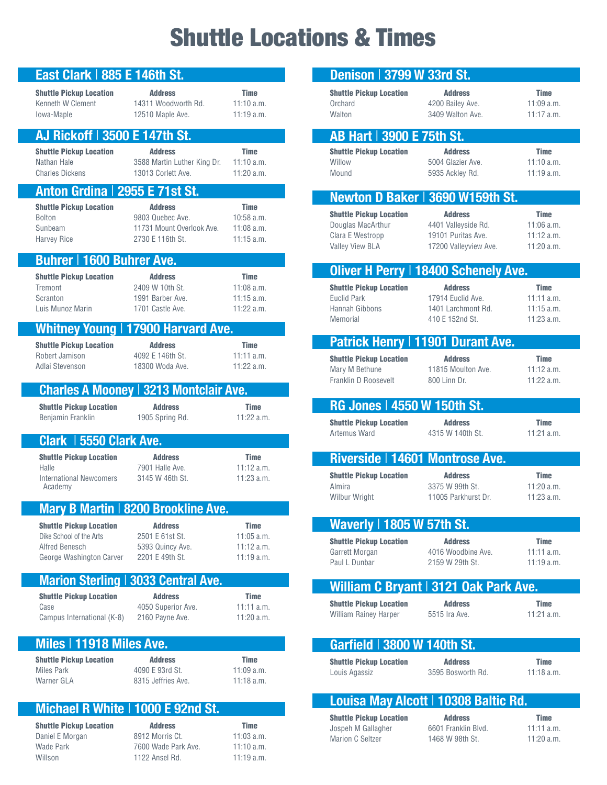# Shuttle Locations & Times

| East Clark   885 E 146th St.                                                                            |                                                                                     |                                                             |
|---------------------------------------------------------------------------------------------------------|-------------------------------------------------------------------------------------|-------------------------------------------------------------|
| <b>Shuttle Pickup Location</b><br>Kenneth W Clement<br>Iowa-Maple                                       | <b>Address</b><br>14311 Woodworth Rd.<br>12510 Maple Ave.                           | <b>Time</b><br>11:10 a.m.<br>11:19a.m.                      |
| AJ Rickoff   3500 E 147th St.                                                                           |                                                                                     |                                                             |
| <b>Shuttle Pickup Location</b><br>Nathan Hale<br><b>Charles Dickens</b>                                 | <b>Address</b><br>3588 Martin Luther King Dr.<br>13013 Corlett Ave.                 | <b>Time</b><br>11:10 a.m.<br>$11:20$ a.m.                   |
| Anton Grdina   2955 E 71st St.                                                                          |                                                                                     |                                                             |
| <b>Shuttle Pickup Location</b><br><b>Bolton</b><br>Sunbeam<br><b>Harvey Rice</b>                        | <b>Address</b><br>9803 Quebec Ave.<br>11731 Mount Overlook Ave.<br>2730 E 116th St. | <b>Time</b><br>$10:58$ a.m.<br>$11:08$ a.m.<br>$11:15$ a.m. |
| <b>Buhrer   1600 Buhrer Ave.</b>                                                                        |                                                                                     |                                                             |
| <b>Shuttle Pickup Location</b><br>Tremont<br>Scranton<br>Luis Munoz Marin                               | <b>Address</b><br>2409 W 10th St.<br>1991 Barber Ave<br>1701 Castle Ave             | <b>Time</b><br>$11:08$ a.m.<br>$11:15$ a.m.<br>$11:22$ a.m. |
|                                                                                                         | Whitney Young   17900 Harvard Ave.                                                  |                                                             |
| <b>Shuttle Pickup Location</b><br>Robert Jamison<br>Adlai Stevenson                                     | <b>Address</b><br>4092 E 146th St.<br>18300 Woda Ave.                               | <b>Time</b><br>11:11 a.m.<br>$11:22$ a.m.                   |
|                                                                                                         | <b>Charles A Mooney   3213 Montclair Ave.</b>                                       |                                                             |
| <b>Shuttle Pickup Location</b><br>Benjamin Franklin                                                     | <b>Address</b><br>1905 Spring Rd.                                                   | <b>Time</b><br>11:22 a.m.                                   |
| Clark   5550 Clark Ave.                                                                                 |                                                                                     |                                                             |
| <b>Shuttle Pickup Location</b><br>Halle<br><b>International Newcomers</b><br>Academy                    | <b>Address</b><br>7901 Halle Ave.<br>3145 W 46th St.                                | <b>Time</b><br>11:12 a.m.<br>$11:23$ a.m.                   |
|                                                                                                         | Mary B Martin   8200 Brookline Ave.                                                 |                                                             |
| <b>Shuttle Pickup Location</b><br>Dike School of the Arts<br>Alfred Benesch<br>George Washington Carver | <b>Address</b><br>2501 E 61st St.<br>5393 Quincy Ave.<br>2201 E 49th St.            | <b>Time</b><br>$11:05$ a.m.<br>$11:12$ a.m.<br>11:19a.m.    |
|                                                                                                         | <b>Marion Sterling   3033 Central Ave.</b>                                          |                                                             |
| <b>Shuttle Pickup Location</b><br>Case<br>Campus International (K-8)                                    | <b>Address</b><br>4050 Superior Ave.<br>2160 Payne Ave.                             | <b>Time</b><br>$11:11$ a.m.<br>$11:20$ a.m.                 |
| Miles   11918 Miles Ave.                                                                                |                                                                                     |                                                             |
| <b>Shuttle Pickup Location</b><br><b>Miles Park</b><br>Warner GLA                                       | <b>Address</b><br>4090 E 93rd St.<br>8315 Jeffries Ave.                             | <b>Time</b><br>$11:09$ a.m.<br>$11:18$ a.m.                 |
|                                                                                                         | Michael R White   1000 E 92nd St.                                                   |                                                             |
| <b>Shuttle Pickup Location</b><br>Daniel E Morgan<br>Wade Park<br>Willson                               | <b>Address</b><br>8912 Morris Ct.<br>7600 Wade Park Ave.<br>1122 Ansel Rd.          | <b>Time</b><br>$11:03$ a.m.<br>$11:10$ a.m.<br>11:19 a.m.   |

| Denison   3799 W 33rd St.                                                                  |                                                                                      |                                                           |
|--------------------------------------------------------------------------------------------|--------------------------------------------------------------------------------------|-----------------------------------------------------------|
| <b>Shuttle Pickup Location</b><br>Orchard<br>Walton                                        | <b>Address</b><br>4200 Bailev Ave.<br>3409 Walton Ave.                               | <b>Time</b><br>11:09a.m.<br>$11:17$ a.m.                  |
| AB Hart   3900 E 75th St.                                                                  |                                                                                      |                                                           |
| <b>Shuttle Pickup Location</b><br>Willow<br>Mound                                          | <b>Address</b><br>5004 Glazier Ave.<br>5935 Ackley Rd.                               | <b>Time</b><br>11:10 a.m.<br>11:19a.m.                    |
| Newton D Baker 3690 W159th St.                                                             |                                                                                      |                                                           |
| <b>Shuttle Pickup Location</b><br>Douglas MacArthur<br>Clara E Westropp<br>Valley View BLA | <b>Address</b><br>4401 Valleyside Rd.<br>19101 Puritas Ave.<br>17200 Valleyview Ave. | <b>Time</b><br>$11:06$ a.m.<br>11:12 a.m.<br>11:20 a.m.   |
|                                                                                            | Oliver H Perry   18400 Schenely Ave.                                                 |                                                           |
| <b>Shuttle Pickup Location</b><br><b>Euclid Park</b><br>Hannah Gibbons<br>Memorial         | <b>Address</b><br>17914 Euclid Ave.<br>1401 Larchmont Rd.<br>410 E 152nd St.         | <b>Time</b><br>11:11 a.m.<br>$11:15$ a.m.<br>$11:23$ a.m. |
| Patrick Henry   11901 Durant Ave.                                                          |                                                                                      |                                                           |
| <b>Shuttle Pickup Location</b><br>Mary M Bethune<br>Franklin D Roosevelt                   | <b>Address</b><br>11815 Moulton Ave.<br>800 Linn Dr.                                 | <b>Time</b><br>11:12 a.m.<br>11:22 a.m.                   |
| RG Jones   4550 W 150th St.                                                                |                                                                                      |                                                           |
| <b>Shuttle Pickup Location</b><br>Artemus Ward                                             | <b>Address</b><br>4315 W 140th St.                                                   | <b>Time</b><br>$11:21$ a.m.                               |
| Riverside   14601 Montrose Ave.                                                            |                                                                                      |                                                           |
| <b>Shuttle Pickup Location</b><br>Almira<br>Wilbur Wright                                  | <b>Address</b><br>3375 W 99th St.<br>11005 Parkhurst Dr.                             | <b>Time</b><br>11:20 a.m.<br>$11:23$ a.m.                 |
| Waverly   1805 W 57th St.                                                                  |                                                                                      |                                                           |
| <b>Shuttle Pickup Location</b><br>Garrett Morgan<br>Paul L Dunbar                          | <b>Address</b><br>4016 Woodbine Ave<br>2159 W 29th St.                               | <b>Time</b><br>$11:11$ a.m.<br>11:19a.m.                  |
|                                                                                            | William C Bryant   3121 Oak Park Ave.                                                |                                                           |
| <b>Shuttle Pickup Location</b><br><b>William Rainey Harper</b>                             | <b>Address</b><br>5515 Ira Ave.                                                      | <b>Time</b><br>$11:21$ a.m.                               |
| Garfield   3800 W 140th St.                                                                |                                                                                      |                                                           |
| <b>Shuttle Pickup Location</b><br>Louis Agassiz                                            | <b>Address</b><br>3595 Bosworth Rd.                                                  | <b>Time</b><br>$11:18$ a.m.                               |
|                                                                                            | Louisa May Alcott   10308 Baltic Rd.                                                 |                                                           |
| <b>Shuttle Pickup Location</b>                                                             | <b>Address</b>                                                                       | <b>Time</b>                                               |

Jospeh M Gallagher 6601 Franklin Blvd. 11:11 a.m. Marion C Seltzer 1468 W 98th St. 11:20 a.m.